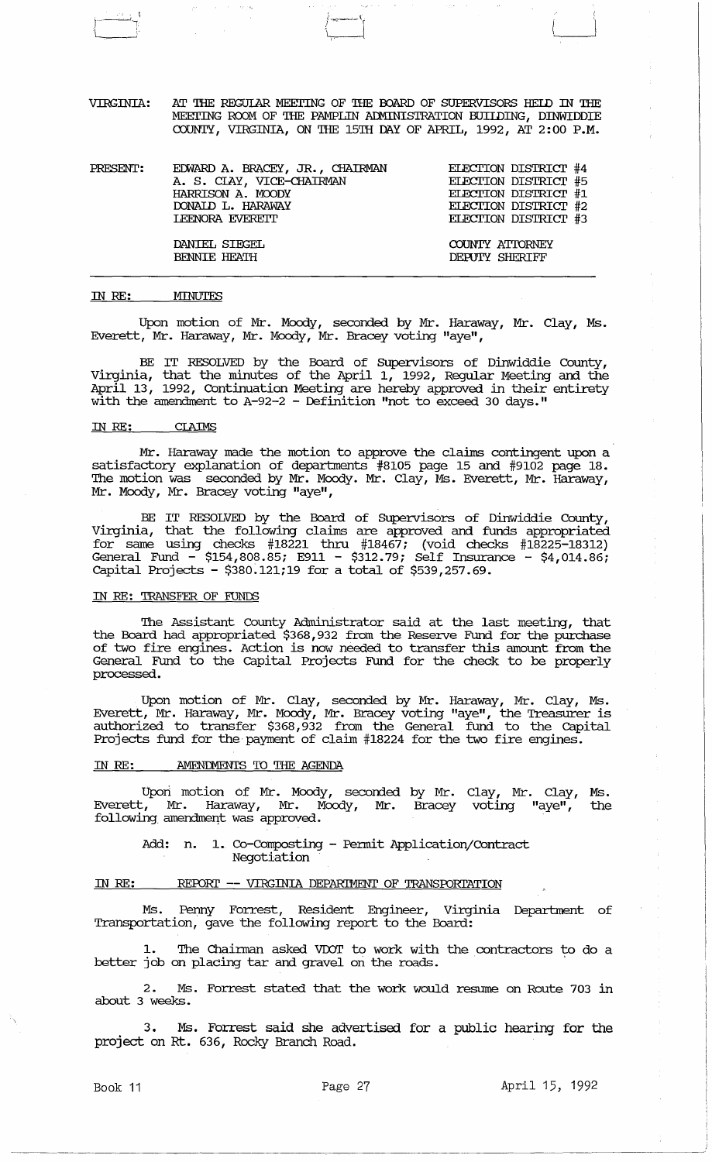VIRGINIA: AT THE REGUIAR MEETING OF THE BOARD OF SUPERVISORS HELD IN THE MEETING ROOM OF THE PAMPLIN ADMINISTRATION BUIIDING, DINWIDDIE COUNTY, VIRGINIA, ON THE 15TH DAY OF APRIL, 1992, AT 2: 00 P.M.

i~~~:~\  $\downarrow$ 

| PRESENT: | EDWARD A. BRACEY, JR., CHAIRMAN | ELECTION DISTRICT #4  |
|----------|---------------------------------|-----------------------|
|          | A. S. CIAY, VICE-CHAIRMAN       | ELECTION DISTRICT #5  |
|          | HARRISON A. MOODY               | ELECTION DISTRICT #1  |
|          | DONAID L. HARAWAY               | ELECTION DISTRICT #2  |
|          | <b>LEENORA EVERETT</b>          | ELECTION DISTRICT #3  |
|          | DANIEL SIEGEL                   | COUNTY ATTORNEY       |
|          | <b>BENNIE HEATH</b>             | <b>DEPUTY SHERIFF</b> |

#### IN RE: MINUTES

)<br>أح<sup>يات ال</sup>ت الــــــــــا

Upon motion of Mr. Moody, seconded by Mr. Haraway, Mr. Clay, Ms. Everett, Mr. Haraway, Mr. Moody, Mr. Bracey voting "aye",

BE IT RESOLVED by the Board of SUpervisors of Dinwiddie County, Virginia, that the minutes of the April 1, 1992, Regular Meeting and the April 13, 1992, Continuation Meeting are hereby approved in their entirety with the amendment to A-92-2 - Definition "not to exceed 30 days."

#### IN RE: CIAIMS

Mr. Haraway made the motion to approve the claims contingent upon <mark>a</mark> satisfactory explanation of departments #8105 page 15 and #9102 page 18. The motion was seconded by Mr. Moody. Mr. Clay, Ms. Everett, Mr. Haraway, Mr. Moody, Mr. Bracey voting "aye",

BE IT RESOLVED by the Board of Supervisors of Dinwiddie County, Virginia, that the following claims are approved and funds appropriated for same using checks #18221 thru #18467; (void checks #18225-18312) General Fund - \$154,808.85; E911 - \$312.79; Self Insurance - \$4,014.86; capital Projects - \$380~121;19 for a total of \$539,257.69.

#### IN RE: TRANSFER OF FUNDS

The Assistant County Administrator said at the last meeting, that the Board had appropriated \$368,932 from the Reserve Fund for the purchase of two fire engines. Action is now needed to transfer this amount from the General Fund to the capital Projects Fund for the check to be properly processed.

Upon motion of Mr. Clay, seconded by Mr. Haraway, Mr. Clay, Ms. Everett, Mr. Haraway, Mr. Moody, Mr. Bracey voting "aye", the Treasurer is authorized to transfer \$368,932 from the General fund to the Capital Projects fund for the payment of claim #18224 for the two fire engines .

#### IN RE: . . . AMENDMENTS TO THE AGENDA

Upori motion of Mr. Moody, seconded by Mr. Clay, Mr. Clay, Ms. Everett, Mr. Haraway, Mr. Moody, Mr. Bracey voting "aye", the following amendment was approved.

Add: n. 1. Co-Composting - Permit Application/Contract Negotiation

#### IN RE: REPORT -- VIRGINIA DEPARTMENT OF TRANSPORTATION

Ms. Penny Forrest, Resident Engineer, Virginia Department of Transportation, gave the following report to the Board:

1. The Chairman asked VDOT to work with the contractors to do a better job on placing tar and gravel on the roads.

2. Ms. Forrest stated that the work would resume on Route 703 in about 3 weeks.

3. Ms. Forrest said she advertised for a public hearing for the project on Rt. 636, Rocky Branch Road.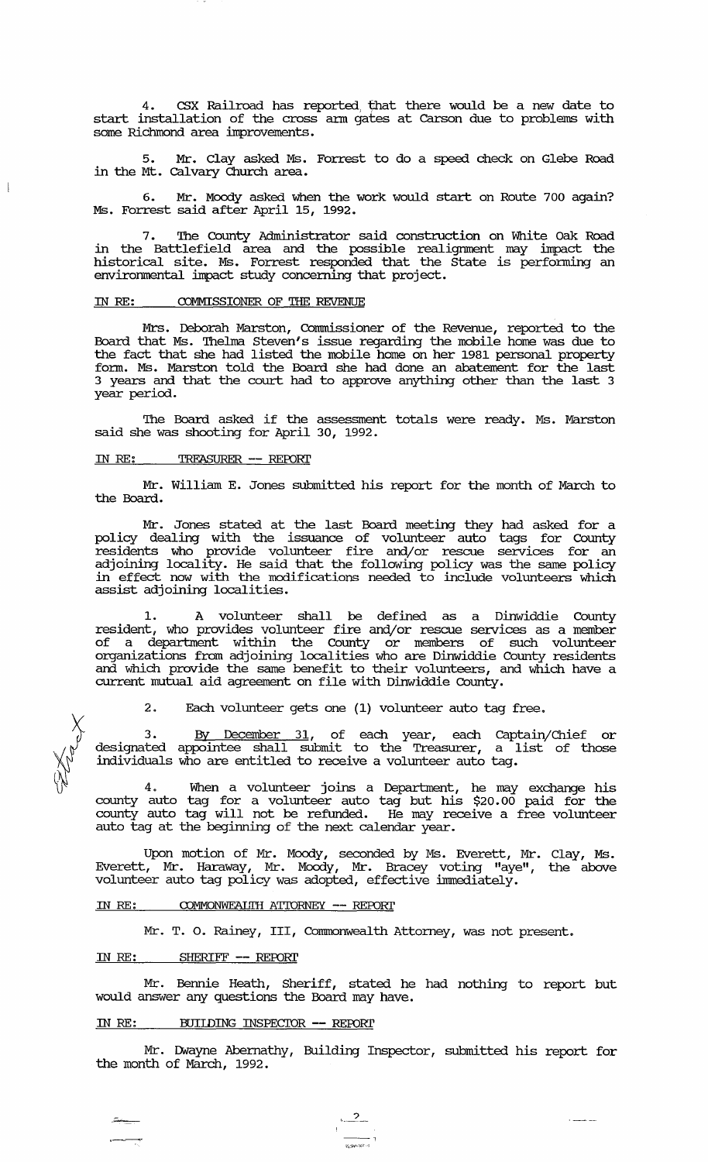4. CSX Railroad has reported; that there would be a new date to start installation of the cross ann gates at carson due to problems with some Richmond area improvements.

5. Mr. Clay asked Ms. Forrest to do a speed check on Glebe Road in the Mt. Calvary Church area.

6. Mr. Moody asked when the work would start on Route 700 again? Ms. Forrest said after April 15, 1992.

7. The County Administrator said construction on White Oak Road in the Battlefield area and the possible realignment may impact the historical site. Ms. Forrest responded that the state is perfonning an environmental impact study concerning that project.

#### IN RE: COMMISSIONER OF THE REVENUE

Mrs. Deborah Marston, Commissioner of the Revenue, reported to the Board that Ms. Thelma Steven's issue regarding the mobile home was due to the fact that she had listed the mobile home on her 1981 personal property fonn. Ms. Marston told the Board she had done an abatement for the last 3 years and that the court had to approve anything other than the last 3 year period.

The Board asked if the assessment totals were ready. Ms. Marston said she was shooting for April 30, 1992.

## IN RE: TREASURER -- REPORT

Mr. William E. Jones submitted his report for the month of March to the Board.

Mr. Jones stated at the last Board meeting they had asked for a policy dealing with the issuance of volunteer auto tags for County residents who provide volunteer fire and/or rescue services for an adjoining locality. He said that the following policy was the same policy in effect now with the modifications needed to include volunteers which assist adjoining localities.

1. A volunteer shall be defined as a Dinwiddie County resident, who provides volunteer fire and/or rescue services as a member of a department within the County or members of such volunteer organizations from adjoining localities who are Dinwiddie County residents and which provide the same benefit to their volunteers, and which have a current mutual aid agreement on file with Dinwiddie County.

2. Each volunteer gets one (1) volunteer auto tag free.

3. By December 31, of each year, each captain/Chief or designated appointee shall submit to the Treasurer, a list of those individuals who are entitled to receive a volunteer auto tag.

4. When a volunteer joins a Department, he may exchange his county auto tag for a volunteer auto tag but his \$20.00 paid for the county auto tag will not be reftmded. He may receive a free volunteer auto tag at the beginning of the next calendar year.

Upon motion of Mr. Moody, seconded by Ms. Everett, Mr. Clay, Ms. Everett, Mr. Haraway, Mr. Moody, Mr. Bracey voting "aye", the above volunteer auto tag policy was adopted, effective innnediately.

#### IN RE: COMMONWEALTH ATTORNEY -- REPORT

Mr. T. O. Rainey, III, Commonwealth Attorney, was not present.

#### IN RE: SHERIFF -- REPORT

" \_\_ e~

**Filled** 

 $\overline{\phantom{a}}$ 

Mr. Bennie Heath, Sheriff, stated he had nothing to report but would answer any questions the Board may have.

# IN RE: BUILDING INSPECIOR -- REPORT

 $\frac{2}{\sqrt{2}}$ 

Mr. IMayne Abernathy, Building Inspector, submitted his report for the month of March, 1992.

*,;.,:;;.,..,0:;.;;.-,*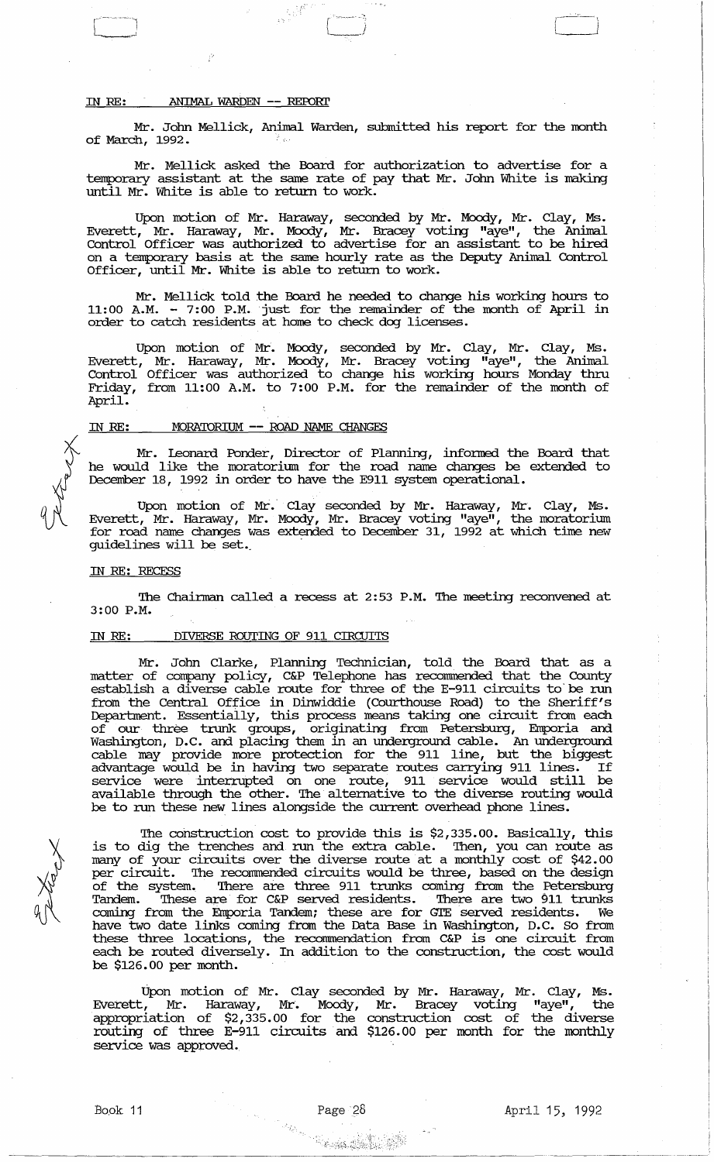## IN RE: ANIMAL WARDEN -- REPORT

I-~----l  $\overline{\phantom{a}}$ 

Mr. John Mellick, Animal Warden, submitted his report for the month of March, 1992.

'~'--'i -,

 $\left\{ -,-,-\right\}$ 

Mr. Mellick asked the Board for authorization to advertise for a temporary assistant at the same rate of pay that Mr. John White is making until Mr. White is able to return to work.

Upon motion of Mr. Haraway, seconded by Mr. Moody, Mr. Clay, Ms. Everett, Mr. Haraway, Mr. Moody, Mr. Bracey voting "aye", the Anilnal Control Officer was authorized to advertise for an assistant to be hired on a temporary basis at the same hourly rate as the Deputy Animal Control Officer, until Mr. White is able to return to work.

Mr. Mellick told the Board he needed to change his working hours to 11:00 A.M. - 7:00 P.M. just for the remainder of the month of April in order to catch residents at home to check dog licenses.

Upon motion of Mr. Moody, seconded by Mr. Clay, Mr. Clay, Ms. Everett, Mr. Haraway, Mr. Moody, Mr. Bracey voting "aye", the Anilnal Control Officer was authorized to change his working hours Monday thru Friday, from 11:00 A.M. to 7:00 P.M. for the remainder of the month of April.

#### IN RE: \_\_ MORATORIUM -- ROAD NAME CHANGES

Mr. leonard Ponder, Director of Planning, infonned the Board that he would like the moratorium for the road name changes be extended to December 18, 1992 in order to have the E911 system operational.

Upon motion of Mr. Clay seconded by Mr. Haraway, Mr. Clay, Ms. Everett, Mr. Haraway, Mr. Moody, Mr. Bracey voting "aye", the moratorium for road name changes was extended to December 31, 1992 at which time new guidelines will be set.

#### IN RE: RECESS

The Chairman called a recess at 2:53 P.M. The meeting reconvened at 3:00 P.M.

#### IN RE: DIVERSE ROUTING OF 911 CIRCUITS

Mr. John Clarke, Planning Teclmician, told the Board that as a matter of company policy, C&P Telephone has recommended that the County establish a diverse cable route for three of the E-911 circuits to' be run from the Central Office in Dinwiddie (Courthouse Road) to the Sheriff's Deparbnent. Essentially, this process means taking one circuit from each of our three trunk groups, originating from Petersburg, Emporia and Washington, D.C. and placing them in an underground cable. An underground cable may provide more protection for the 911 line, but the biggest advantage would be in having two separate routes carrying 911 lines. If service were interrupted on one route, 911 service would still be available through the other. The alternative to the diverse routing would be to run these new lines alongside the current overhead phone lines.

The construction cost to provide this is \$2,335.00. Basically, this is to dig the trenches and run the extra cable. Then, you can route as many of your circuits over the diverse route at a monthly cost of \$42.00 per circuit. The recommended circuits would be three, based on the design of the system. There are three 911 trunks coming from the Petersburg Tandem. These are for C&P served residents. There are two 911 trunks coming from the Emporia Tandem; these are for GIE served residents. We have two date links coming from the Data Base in Washington, D.C. So from these three locations, the recommendation from C&P is one circuit from each be routed diversely. In addition to the construction, the cost would be \$126.00 per month.

Upon motion of Mr. Clay seconded by Mr. Haraway, Mr. Clay, Ms. Everett, Mr. Haraway, Mr. Moody, Mr. Bracey voting "aye", the appropriation of \$2,335.00 for the construction cost of the diverse routing of three E-911 circuits and \$126.00 per month for the monthly service was approved.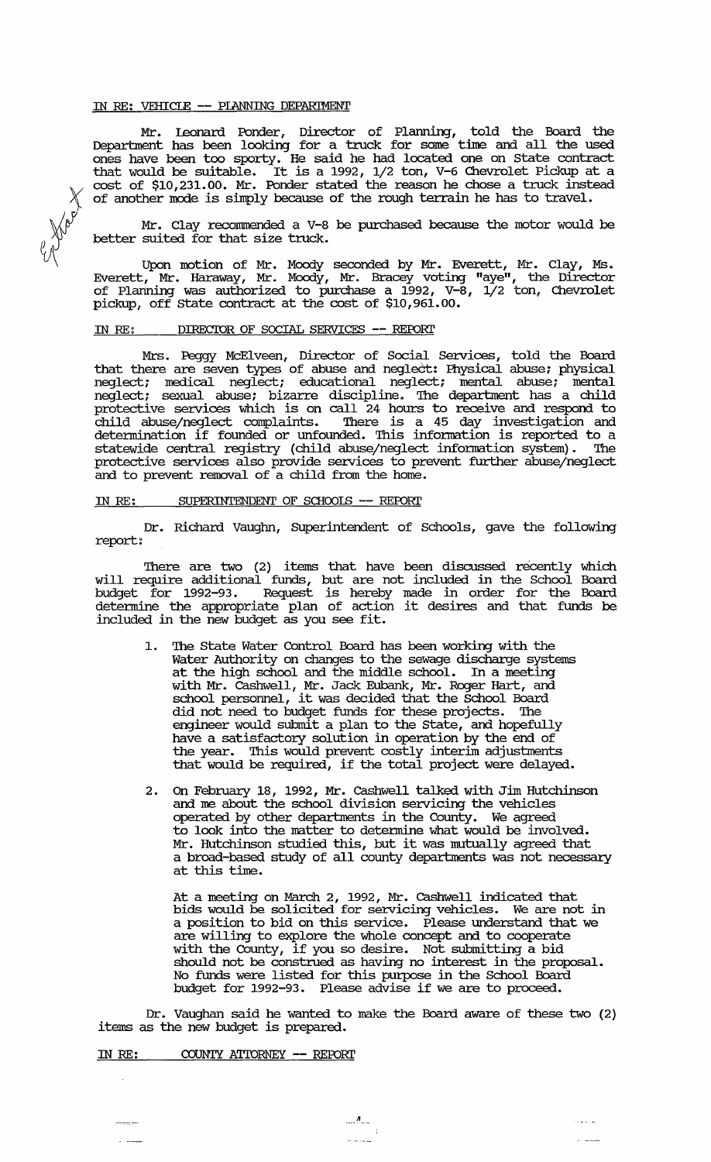#### IN RE: VEHICIE -- PIANNING DEPARIMENT

Mr. leonard Ponder, Director of Planning, told the Board the Department has been looking for a truck for some time and all the used ones have been too sporty. He said he had located one on state contract that would be suitable. It is a 1992, 1/2 ton, V-6 Chevrolet Pickup at a cost of \$10,231.00. Mr. Ponder stated the reason he chose a truck instead of another mode is simply because of the rough terrain he has to travel.

Mr. Clay recommended a V-8 be purchased because the motor would be better suited for that size truck.

Upon motion of Mr. Moody seconded by Mr. Everett, Mr. Clay, Ms. Everett, Mr. Haraway, Mr. Mcxxly, Mr. Bracey voting "aye", the Director of Planning was authorized to purchase a 1992, V-8, 1/2 ton, Chevrolet pickup, off state contract at the cost of \$10,961.00.

#### IN RE: DIRECTOR OF SOCIAL SERVICES -- REPORT

Mrs. Peggy McElveen, Director of Social Services, told the Board that there are seven types of abuse and neglect: Physical abuse; physical neglect; medical neglect; educational neglect; mental abuse; mental neglect; sexual abuse; bizarre discipline. 'Ihe department has a child protective services which is on call 24 hours to receive and respond to child abuse/neglect conplaints. 'Ihere is a 45 day investigation and detennination if founded or unfounded. 'Ibis information is reported to a statewide central registry (child abuse/neglect information system). 'Ihe protective services also provide services to prevent further abuse/neglect and to prevent removal of a child from the home.

#### IN RE: SUPERINTENDENT OF SCHOOLS -- REPORT

Dr. Richard Vaughn, SUperintendent of Schools, gave the following report:

'Ihere are two (2) items that have been discussed recently which will require additional funds, but are not included in the School Board budget for 1992-93. Request is hereby made in order for the Board detennine the appropriate plan of action it desires and that funds be included in the new budget as you see fit.

- The State Water Control Board has been working with the Water Authority on changes to the sewage discharge systems at the high school and the middle school. In a meeting with Mr. cashwell, Mr. Jack Eubank, Mr. Roger Hart, and school personnel, it was decided that the School Board did not need to budget funds for these projects. 'Ihe engineer would submit a plan to the State, and hopefully have a satisfactory solution in operation by the end of the year. This would prevent costly interim adjustments that would be required, if the total project were delayed.
- 2. On February 18, 1992, Mr. cashwell talked with Jim Hutchinson and me about the school division servicing the vehicles operated by other departments in the County. We agreed to look into the matter to detennine what would be involved. Mr. Hutchinson studied this, but it was mutually agreed that a broad-based study of all county departments was not necessary at this time.

At a meeting on March 2, 1992, Mr. cashwell indicated that bids would be solicited for servicing vehicles. We are not in a position to bid on this service. Please understand that we are willing to explore the whole concept and to cooperate are withing to explore the whole concept and to cooperate<br>with the County, if you so desire. Not submitting a bid should not be construed as having no interest in the proposal. No funds were listed for this purpose in the School Board budget for 1992-93. Please advise if we are to proceed.

Dr. Vaughan said he wanted to make the Board aware of these two (2) items as the new budget is prepared.

 $\cdots$ 

 $\bar{z}$ 

IN RE: COUNTY ATTORNEY -- REPORT

eese

En Harry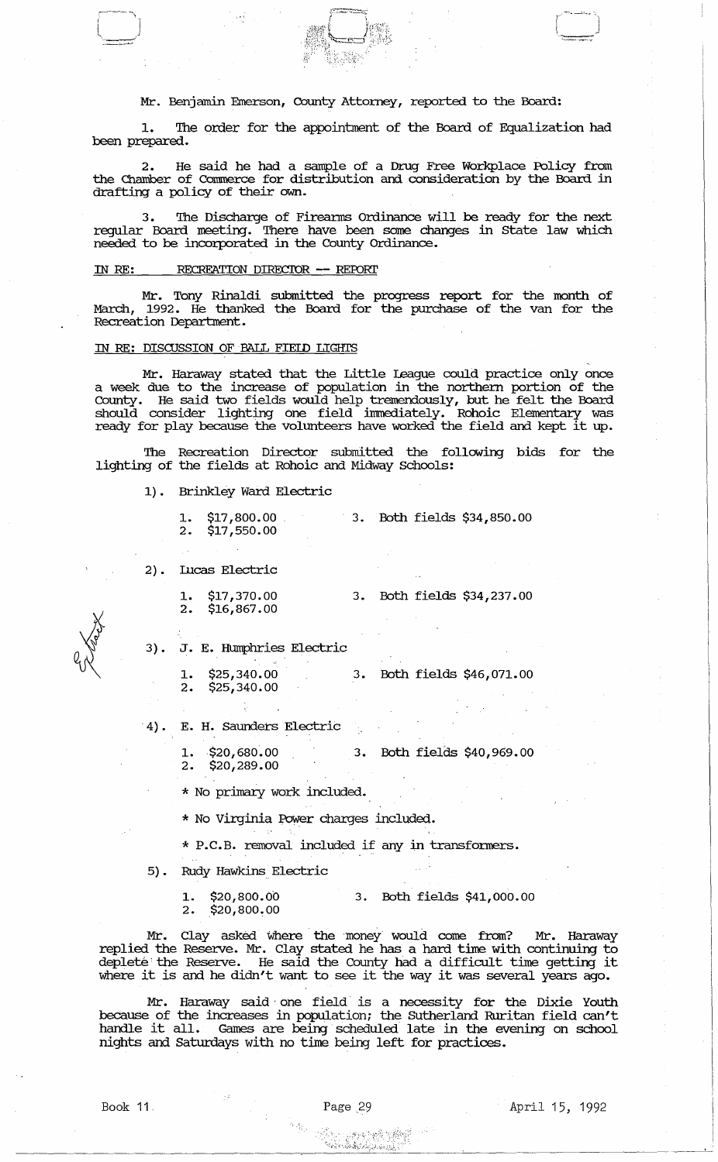## Mr. Benjamin Emerson, County Attorney, reported to the Board:

 $\begin{array}{c} \hline \end{array}$ 

1. The order for the appointment of the Board of Equalization had been prepared.

2. He said he had a sample of a Drug Free Workplace Policy from the Chamber of Commerce for distribution and consideration by the Board in drafting a policy of their own.

The Discharge of Firearms Ordinance will be ready for the next regular Board meeting. There have been some changes in state law which needed to be incorporated in the County Ordinance.

## IN RE: RECREATION DIRECTOR -- REPORT

Mr. Tony Rinaldi submitted the progress report for the month of March, 1992. He thanked the Board for the purchase of the van for the Recreation Department.

## IN RE: DISCUSSION OF BALL FIEID LIGHTS

Mr. Haraway stated that the Little league could practice only once a week due to the increase of population in the northern portion of the County. He said two fields would help tremendously, but he felt the Board should consider lighting one field immediately. Rohoic Elementary was ready for play because the volunteers have worked the field and kept it up.

The Recreation Director submitted the following bids for the lighting of the fields at Rohoic and Midway Schools:

1). Brinkley Ward Electric

| $1.$ \$17,800.00 |  | 3. Both fields \$34,850.00 |  |
|------------------|--|----------------------------|--|
| $2.$ \$17,550.00 |  |                            |  |

2) • Incas Electric

- 1. \$17,370.00 3. Both fields \$34,237.00<br>2. \$16,867.00
- 3) J. E. Humphries Electric
	- 1. \$25,340.00 3. Both fields \$46,071.00<br>2. \$25,340.00  $$25,340.00$

. 4) . E. H. Saunders Electric

1. \$20,680.00 3. Both fields \$40,969.00<br>2. \$20,289.00 2. \$20,289.00

\* No primary work included.

\* No Virginia Power charges included.

\* P.C.B. removal included if any in transfonners.

5). Rudy Hawkins Electric

1. \$20,800.00 3. Both fields \$41,000.00<br>2. \$20,800.00

 $$20,800,00$ 

Mr. Clay asked where the money would come from? Mr. Haraway replied the Reserve. Mr. Clay stated he has a hard time with continuing to deplete: the Reserve. He said the county had a difficult time getting it where it is and he didn't want to see it the way it was several years ago.

Mr. Haraway said' one field is a necessity for the Dixie Youth because of the increases in population; the SUtherland Ruritan field can't handle it all. Games are being scheduled late in the evening on school nights and Saturdays with no time being left for practices.

 $\left\langle \begin{array}{ccc} \cdot & \cdot & \cdot \\ \cdot & \cdot & \cdot \end{array} \right\rangle$  $\begin{pmatrix} 1 & 1 \\ 1 & 1 \end{pmatrix}$ 

"'.<br>"'... "'<sup>...</sup>... "... "..." "..."<br>"'.<u>... "... "... "... "... ".</u>.

Book 11. Page 29 April 15, 1992

I' $~\cdots~$  - "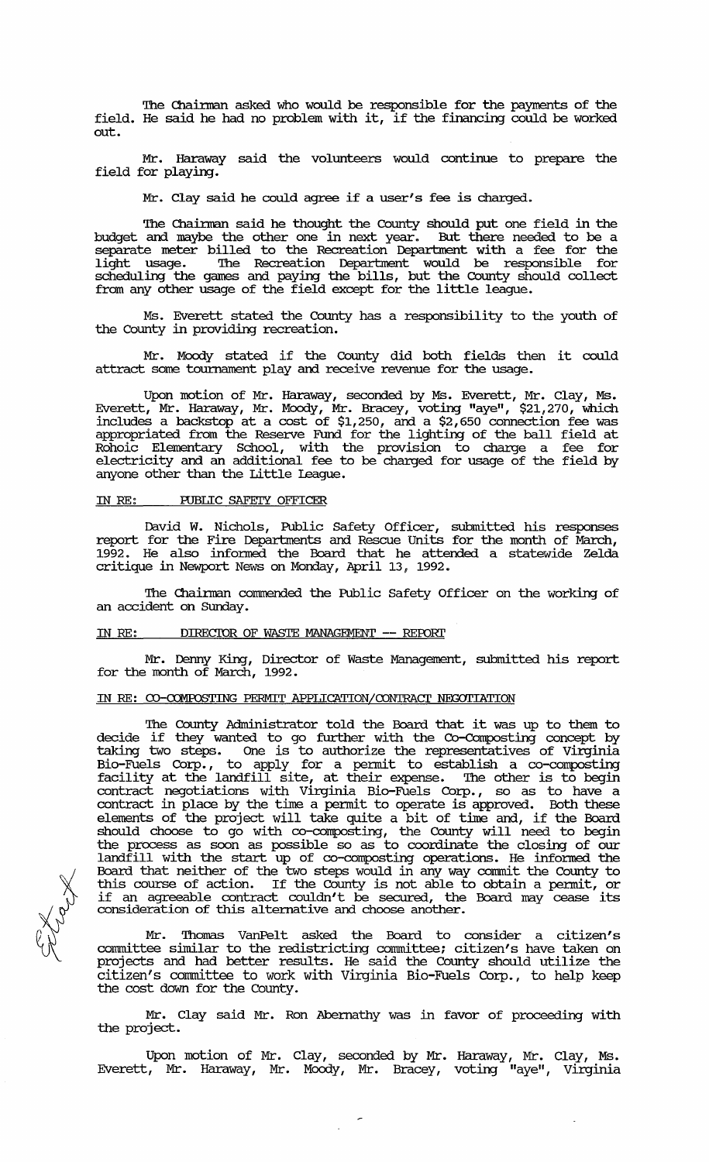The Chairman asked who would be responsible for the payments of the field. He said he had no problem with it, if the financing could be worked out.

Mr. Haraway said the volunteers would continue to prepare the field for playing.

Mr. Clay said he could agree if a user's fee is charged.

The Chairman said he thought the County should put one field in the and maybe the other one in next year. But there needed to be a budget and maybe the other one in next year. separate meter billed to the Recreation Department with a fee for the light usage. The Recreation Department would be responsible for scheduling the games and paying the bills, but the County should collect from any other usage of the field except for the little league.

Ms. Everett stated the County has a responsibility to the youth of the County in providing recreation.

Mr. Moody stated if the County did both fields then it could attract some tournament play and receive revenue for the usage.

Upon motion of Mr. Haraway, seconded by Ms. Everett, Mr. Clay, Ms. Everett, Mr. Haraway, Mr. Moody, Mr. Bracey, voting "aye", \$21,270, which includes a backstop at a cost of \$1,250, and a \$2,650 connection fee was appropriated from the Reserve Fund for the lighting of the ball field at Rohoic Elementary School, with the provision to charge a fee for electricity and an additional fee to be charged for usage of the field by anyone other than the Little league.

### IN RE: PUBLIC SAFETY OFFICER

David W. Nichols, Public Safety Officer, submitted his responses report for the Fire Departments and Rescue Units for the month of March, 1992. He also infonned. the Board that he attended a statewide Zelda critique in Newport News on Monday, April 13, 1992.

The Chairman commended the Public Safety Officer on the working of an accident on SUnday.

## IN RE: DIRECIOR OF WASTE MANAGEMENT -- REroRl'

Mr. Denny King, Director of Waste Management, submitted his report for the month of March, 1992.

## IN RE: CO-COMPOSTING PERMIT APPLICATION/CONTRACT NEGOTIATION

The County Administrator told the Board that it was up to them to decide if they wanted to go further with the Co-Composting concept by taking two steps. One is to authorize the representatives of Virginia Bio-Fuels Corp., to apply for a permit to establish a co-composting facility at the landfill site, at their expense. The other is to begin contract negotiations with Virginia Bio-Fuels Corp., so as to have a contract in place by the time a permit to operate is approved. Both these elements of the project will take quite a bit of time and, if the Board should choose to go with co-cornposting, the County will need to begin the process as soon as possible so as to coordinate the closing of our landfill with the start up of co-composting operations. He infonned. the Board that neither of the two steps would in any way commit the County to this course of action. If the County is not able to obtain a permit, or if an agreeable contract couldn't be secured, the Board may cease its consideration of this alternative and choose another.

Mr. Thomas VanPelt asked the Board to consider a citizen's committee similar to the redistricting committee; citizen's have taken on projects and had better results. He said the County should utilize the citizen's conunittee to work with Virginia Bio-Fuels Corp., to help keep the cost down for the County.

Mr. Clay said Mr. Ron Abernathy was in favor of proceeding with the project.

Upon motion of Mr. Clay, seconded by Mr. Haraway, Mr. Clay, Ms. Everett, Mr. Haraway, Mr. Moody, Mr. Bracey, voting "aye", Virginia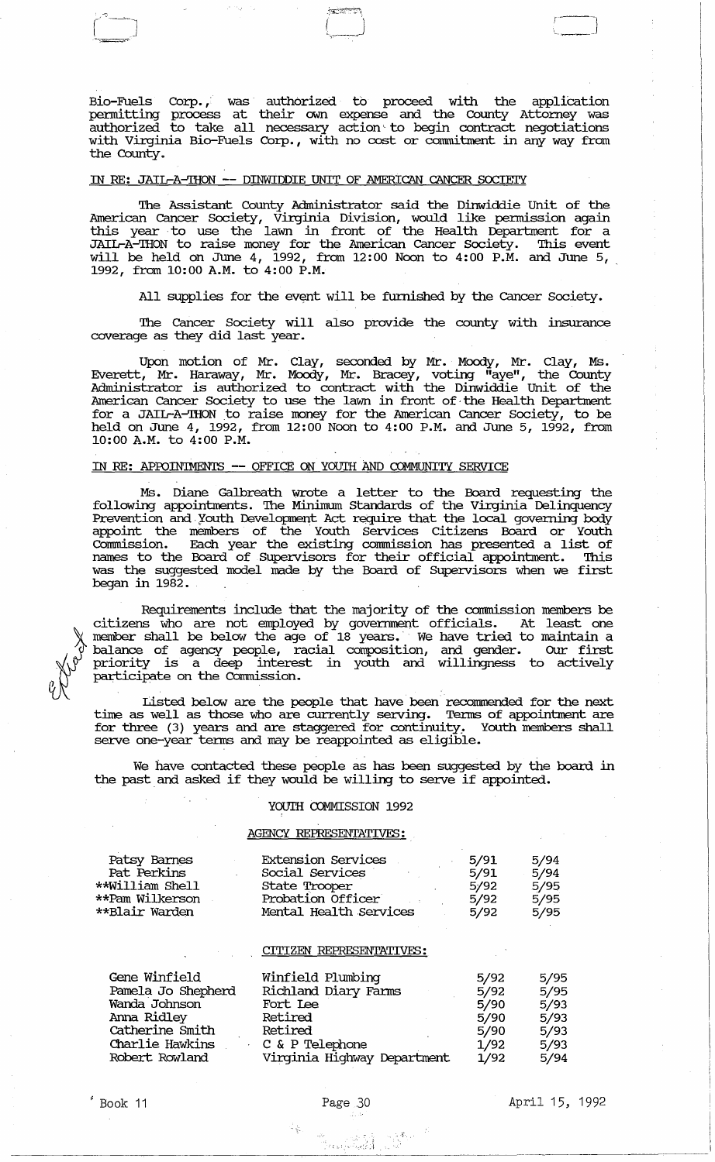Bio-Fuels Corp., was authorized to proceed with the application permitting process at their own expense and the County Attorney was authorized to take all necessary action to begin contract negotiations with Virginia Bio-Fuels Corp., with no cost or commitment in any way from the County.

 $\begin{pmatrix} -1 \\ -1 \end{pmatrix}$ 

,.~J

## IN RE: JAIL-A-THON -- DINWIDDIE UNIT OF AMERICAN CANCER SOCIETY

 $r^*$  -  $\overline{r}$  -  $\overline{r}$  -  $\overline{r}$  -  $\overline{r}$  -  $\overline{r}$  -  $\overline{r}$  -  $\overline{r}$  -  $\overline{r}$  -  $\overline{r}$  -  $\overline{r}$  -  $\overline{r}$  -  $\overline{r}$  -  $\overline{r}$  -  $\overline{r}$  -  $\overline{r}$  -  $\overline{r}$  -  $\overline{r}$  -  $\overline{r}$  -  $\overline{r}$  -  $\overline$ 

, "- '"

The Assistant County Administrator said the Dinwiddie Unit of the American Cancer Society, Virginia Division, would like pennission again this year to use the lawn in front of the Health Department for a JAIIrA-THON to raise money for the American Cancer Society. This event will be held on June 4, 1992, from 12:00 Noon to 4:00 P.M. and June 5, 1992, from 10:00 A.M. to 4:00 P.M.

All supplies for the event will be furnished by the Cancer Society.

The Cancer Society will also provide the county with insurance coverage as they did last year.

Upon motion of Mr. Clay, seconded by Mr. Moody, Mr. Clay, Ms. Everett, Mr. Haraway, Mr. Moody, Mr. Bracey, voting "aye", the County Administrator is authorized to contract with the Dinwiddie unit of the American Cancer Society to use the lawn in front of· the Health Department for a JAIL-A-THON to raise money for the American Cancer Society, to be held on June 4, 1992, from 12:00 Noon to 4:00 P.M. and June 5, 1992, from 10:00 A.M. to 4:00 P.M.

#### IN RE: APPOINTMENTS -- OFFICE ON YOUTH AND COMMUNITY SERVICE

Ms. Diane Galbreath wrote a letter to the Board requesting the following appointments. The Minimum Standards of the Virginia Delinquency Prevention and Youth Development Act require that the local governing body appoint the members of the Youth Services Citizens Board or Youth Conunission. Each year the existing commission has presented a list of names to the Board of Supervisors for their official appointment. This was the suggested model made by the Board of Supervisors when we first began in 1982.

Requirements include that the majority of the commission members be citizens who are not employed by govermnent officials. At least one member shall be below the age of 18 years. We have tried to maintain a balance of agency people, racial composition, and gender. OUr first priority is a deep interest in youth and willingness to actively participate on the commission.

Listed below are the people that have been recommended for the next time as well as those who are currently serving. Terms of appointment are for three (3) years and are staggered for continuity. Youth members shall serve one-year terms and may be reappointed as eligible.

We have contacted these people as has been suggested by the board in the past and asked if they would be willing to serve if appointed.

## YOUTH COMMISSION 1992

## AGENCY **REPRESENTATIVES:**

| Patsy Barnes    | <b>Extension Services</b> | 5/91 | 5/94 |
|-----------------|---------------------------|------|------|
| Pat Perkins     | Social Services           | 5/91 | 5/94 |
| **William Shell | State Trooper             | 5/92 | 5/95 |
| **Pam Wilkerson | Probation Officer         | 5/92 | 5/95 |
| **Blair Warden  | Mental Health Services    | 5/92 | 5/95 |
|                 |                           |      |      |

#### CITIZEN **REPRESENTATIVES:**

| Gene Winfield      | Winfield Plumbing           | 5/92 | 5/95 |
|--------------------|-----------------------------|------|------|
| Pamela Jo Shepherd | Richland Diary Farms        | 5/92 | 5/95 |
| Wanda Johnson      | Fort Lee                    | 5/90 | 5/93 |
| Anna Ridley        | Retired                     | 5/90 | 5/93 |
| Catherine Smith    | Retired                     | 5/90 | 5/93 |
| Charlie Hawkins    | C & P Telephone             | 1/92 | 5/93 |
| Robert Rowland     | Virginia Highway Department | 1/92 | 5/94 |



 $^{\prime}$  Book 11

 $\mathcal{C}$  ;  $\mathcal{C}$  ;  $\mathcal{C}$  ;  $\mathcal{C}$  ;  $\mathcal{C}$  ;  $\mathcal{C}$  ;  $\mathcal{C}$  ;  $\mathcal{C}$  ;  $\mathcal{C}$  ;  $\mathcal{C}$  ;  $\mathcal{C}$  ;  $\mathcal{C}$  ;  $\mathcal{C}$  ;  $\mathcal{C}$  ;  $\mathcal{C}$  ;  $\mathcal{C}$  ;  $\mathcal{C}$  ;  $\mathcal{C}$  ;  $\mathcal{C}$  ;  $\mathcal{C}$  ;

April 15, 1992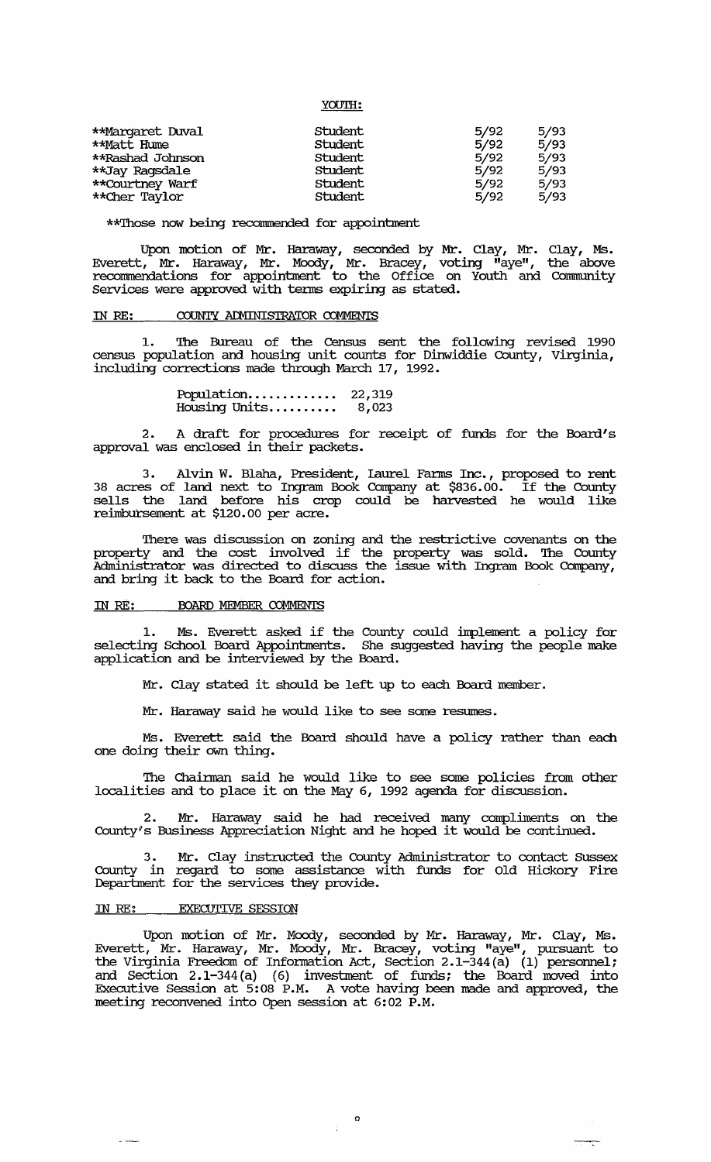| <b>TOUTH:</b> |  |
|---------------|--|
|               |  |

| **Margaret Duval | Student | 5/92 | 5/93 |
|------------------|---------|------|------|
| **Matt Hume      | Student | 5/92 | 5/93 |
| **Rashad Johnson | Student | 5/92 | 5/93 |
| **Jay Raqsdale   | Student | 5/92 | 5/93 |
| **Courtney Warf  | Student | 5/92 | 5/93 |
| **Cher Taylor    | Student | 5/92 | 5/93 |

\*\*Those now being recommended for appointment

Upon motion of Mr. Haraway, seconded by Mr. Clay, Mr. Clay, Ms. Everett, Mr. Haraway, Mr. Moody, Mr. Bracey, voting "aye", the above recormnendations for appointment to the Office on Youth and Community Services were approved with terms expiring as stated.

## IN RE: COUNTY ADMINISTRATOR COMMENTS

1. The Bureau of the Census sent the following revised 1990 census population and housing unit counts for Dinwiddie County, Virginia, including corrections made through March 17, 1992.

> Population.............. 22,319<br>Housing Units.......... 8,023 8,023

2. A draft for procedures for receipt of funds for the Board's approval was enclosed in their packets.

3. Alvin W. Blaha, President, laurel Fanus Inc., proposed to rent 38 acres of land next to Ingram Book Corrpany at \$836.00. If the County sells the land before his crop could be harvested he would like reimbursement at \$120.00 per acre.

There was discussion on zoning and the restrictive covenants on the property and the cost involved if the property was sold. The County Administrator was directed to discuss the issue with Ingram Book Company, and bring it back to the Board for action.

## IN RE: BOARD MEMBER COMMENTS

1. Ms. Everett asked if the County could implement a policy for selecting School Board Appointments. She suggested having the people make application and be interviewed by the Board.

Mr. Clay stated it should be left up to each Board member.

Mr. Haraway said he would like to see some resumes.

Ms. Everett said the Board should have a policy rather than each one doing their own thing.

The Chainman said he would like to see some policies from other localities and to place it on the May 6, 1992 agenda for discussion.

2. Mr. Haraway said he had received many compliments on the County's Business Appreciation Night and he hoped it would be continued.

3. Mr. Clay instructed the County Administrator to contact SUSsex County in regard to some assistance with funds for Old Hickory Fire Department for the services they provide.

#### IN RE: EXECUTIVE *SESSION*

 $\sim$   $\sim$ 

Upon motion of Mr. Moody, seconded by Mr. Haraway, Mr. Clay, Ms. Everett, Mr. Haraway, Mr. Moody, Mr. Bracey, voting "aye", pursuant to the Virginia Freedom of Information Act, Section 2.1-344 $\overline{a}$ )  $\overline{a}$  (1) personnel; and Section 2.1-344(a) (6) investment of funds; the Board moved into Executive Session at 5:08 P.M. A vote having been made and approved, the meeting reconvened into Open session at 6:02 P.M.

> $\Omega$  $\frac{1}{4}$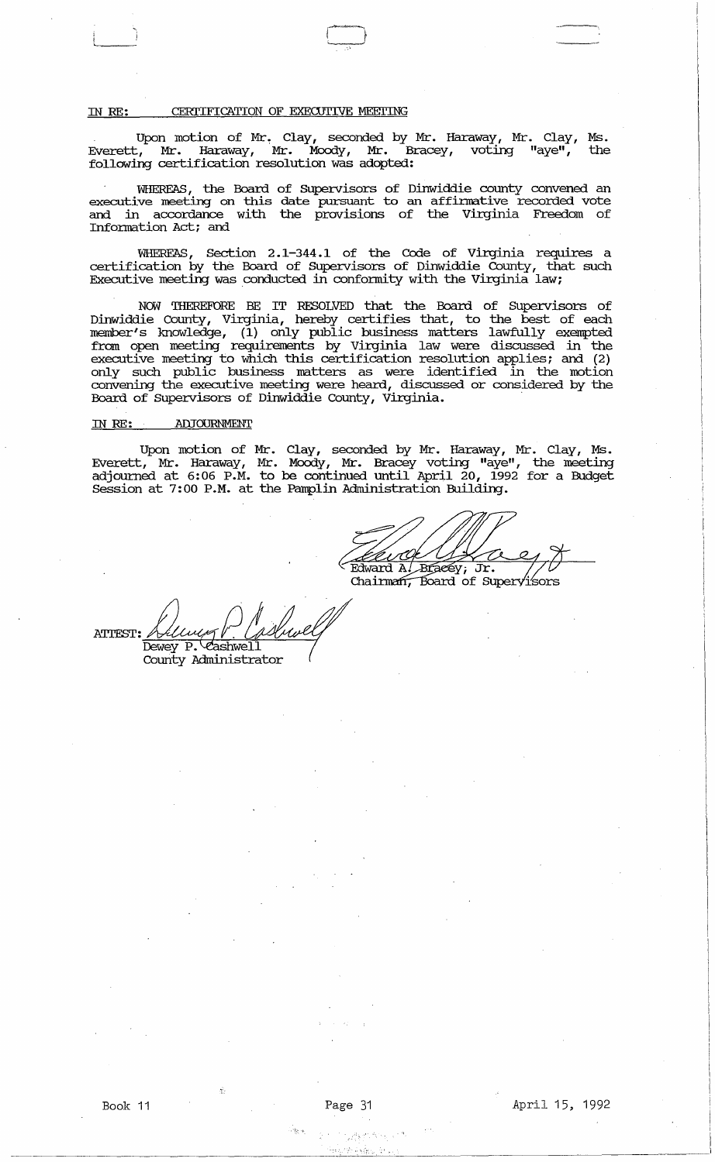## IN RE: CERTIFICATION OF EXECUTIVE MEETING

 $\sum_{i=1}^{n}$ 

Upon motion of Mr. Clay, seconded by Mr. Haraway, Mr. Clay, Ms. Everett, Mr. Haraway, Mr. Moody, Mr. Bracey, voting "aye", the following certification resolution was adopted:

WHEREAS, the Board of SUpervisors of Dinwiddie county convened an executive meeting on this date pursuant to an affinnative recorded vote and in accordance with the provisions of the Virginia Freedom of Information Act; and

WHEREAS, Section 2.1-344.1 of the Code of Virginia requires a certification by the Board of SUpervisors of Dinwiddie County, that such Executive meeting was conducted in conformity with the Virginia law;

NOW THEREFORE BE IT RESOLVED that the Board of supervisors of Dinwiddie county, Virginia, hereby certifies that, to the best of each member's knowledge, (1) only public business matters lawfully exempted from open meeting requirements by Virginia law were discussed in the executive meeting to which this certification resolution applies; and (2) only such public business matters as were identified in the motion convening the executive meeting were heard, discussed or considered by the Board of Supervisors of Dinwiddie County, Virginia.

#### IN RE: ADJOURNMENT

Upon motion of Mr. Clay, seconded by Mr. Haraway, Mr. Clay, Ms. Everett, Mr. Haraway, Mr. Moody, Mr. Bracey voting "aye", the meeting adjourned at 6:06 P.M. to be continued until April 20, 1992 for a Budget Session at 7:00 P.M. at the Pamplin Administration Building.

<u>i O</u>k Edward A. Braeey; Jr.  $//$ <br>Chairman, Board of Supervisors

ATTEST: Hellwey Plashwell Dewey P. Cashwell<br>County Administrator

·'i.-I"